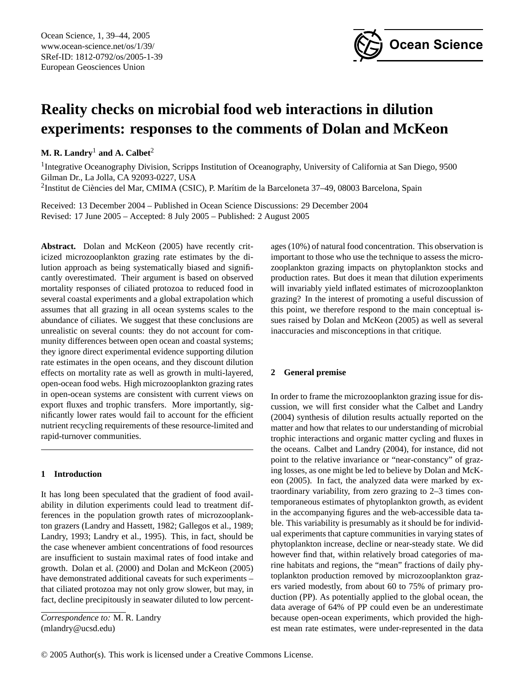

# **Reality checks on microbial food web interactions in dilution experiments: responses to the comments of Dolan and McKeon**

**M. R. Landry**<sup>1</sup> **and A. Calbet**<sup>2</sup>

<sup>1</sup>Integrative Oceanography Division, Scripps Institution of Oceanography, University of California at San Diego, 9500 Gilman Dr., La Jolla, CA 92093-0227, USA  $^2$ Institut de Ciències del Mar, CMIMA (CSIC), P. Marítim de la Barceloneta 37–49, 08003 Barcelona, Spain

Received: 13 December 2004 – Published in Ocean Science Discussions: 29 December 2004 Revised: 17 June 2005 – Accepted: 8 July 2005 – Published: 2 August 2005

**Abstract.** Dolan and McKeon (2005) have recently criticized microzooplankton grazing rate estimates by the dilution approach as being systematically biased and significantly overestimated. Their argument is based on observed mortality responses of ciliated protozoa to reduced food in several coastal experiments and a global extrapolation which assumes that all grazing in all ocean systems scales to the abundance of ciliates. We suggest that these conclusions are unrealistic on several counts: they do not account for community differences between open ocean and coastal systems; they ignore direct experimental evidence supporting dilution rate estimates in the open oceans, and they discount dilution effects on mortality rate as well as growth in multi-layered, open-ocean food webs. High microzooplankton grazing rates in open-ocean systems are consistent with current views on export fluxes and trophic transfers. More importantly, significantly lower rates would fail to account for the efficient nutrient recycling requirements of these resource-limited and rapid-turnover communities.

## **1 Introduction**

It has long been speculated that the gradient of food availability in dilution experiments could lead to treatment differences in the population growth rates of microzooplankton grazers (Landry and Hassett, 1982; Gallegos et al., 1989; Landry, 1993; Landry et al., 1995). This, in fact, should be the case whenever ambient concentrations of food resources are insufficient to sustain maximal rates of food intake and growth. Dolan et al. (2000) and Dolan and McKeon (2005) have demonstrated additional caveats for such experiments – that ciliated protozoa may not only grow slower, but may, in fact, decline precipitously in seawater diluted to low percent-

<span id="page-0-0"></span>*Correspondence to:* M. R. Landry (mlandry@ucsd.edu)

ages (10%) of natural food concentration. This observation is important to those who use the technique to assess the microzooplankton grazing impacts on phytoplankton stocks and production rates. But does it mean that dilution experiments will invariably yield inflated estimates of microzooplankton grazing? In the interest of promoting a useful discussion of this point, we therefore respond to the main conceptual issues raised by Dolan and McKeon (2005) as well as several inaccuracies and misconceptions in that critique.

## **2 General premise**

In order to frame the microzooplankton grazing issue for discussion, we will first consider what the Calbet and Landry (2004) synthesis of dilution results actually reported on the matter and how that relates to our understanding of microbial trophic interactions and organic matter cycling and fluxes in the oceans. Calbet and Landry (2004), for instance, did not point to the relative invariance or "near-constancy" of grazing losses, as one might be led to believe by Dolan and McKeon (2005). In fact, the analyzed data were marked by extraordinary variability, from zero grazing to 2–3 times contemporaneous estimates of phytoplankton growth, as evident in the accompanying figures and the web-accessible data table. This variability is presumably as it should be for individual experiments that capture communities in varying states of phytoplankton increase, decline or near-steady state. We did however find that, within relatively broad categories of marine habitats and regions, the "mean" fractions of daily phytoplankton production removed by microzooplankton grazers varied modestly, from about 60 to 75% of primary production (PP). As potentially applied to the global ocean, the data average of 64% of PP could even be an underestimate because open-ocean experiments, which provided the highest mean rate estimates, were under-represented in the data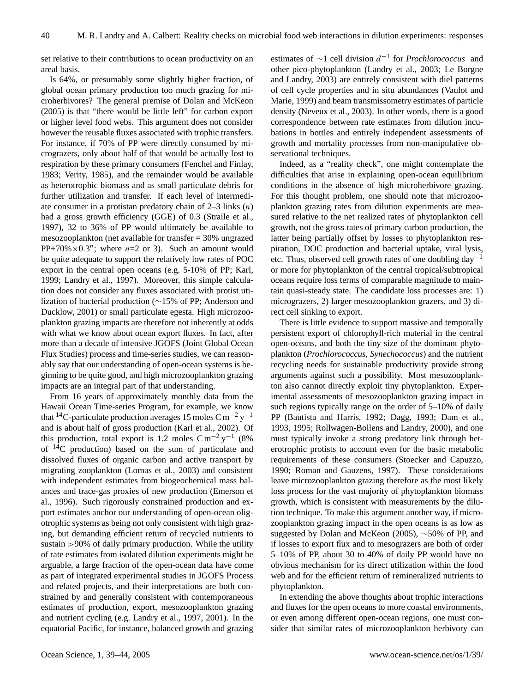set relative to their contributions to ocean productivity on an areal basis.

Is 64%, or presumably some slightly higher fraction, of global ocean primary production too much grazing for microherbivores? The general premise of Dolan and McKeon (2005) is that "there would be little left" for carbon export or higher level food webs. This argument does not consider however the reusable fluxes associated with trophic transfers. For instance, if 70% of PP were directly consumed by micrograzers, only about half of that would be actually lost to respiration by these primary consumers (Fenchel and Finlay, 1983; Verity, 1985), and the remainder would be available as heterotrophic biomass and as small particulate debris for further utilization and transfer. If each level of intermediate consumer in a protistan predatory chain of  $2-3$  links  $(n)$ had a gross growth efficiency (GGE) of 0.3 (Straile et al., 1997), 32 to 36% of PP would ultimately be available to mesozooplankton (net available for transfer = 30% ungrazed  $PP+70\% \times 0.3^n$ ; where  $n=2$  or 3). Such an amount would be quite adequate to support the relatively low rates of POC export in the central open oceans (e.g. 5-10% of PP; Karl, 1999; Landry et al., 1997). Moreover, this simple calculation does not consider any fluxes associated with protist utilization of bacterial production (∼15% of PP; Anderson and Ducklow, 2001) or small particulate egesta. High microzooplankton grazing impacts are therefore not inherently at odds with what we know about ocean export fluxes. In fact, after more than a decade of intensive JGOFS (Joint Global Ocean Flux Studies) process and time-series studies, we can reasonably say that our understanding of open-ocean systems is beginning to be quite good, and high microzooplankton grazing impacts are an integral part of that understanding.

From 16 years of approximately monthly data from the Hawaii Ocean Time-series Program, for example, we know that <sup>14</sup>C-particulate production averages 15 moles C m<sup>-2</sup> y<sup>-1</sup> and is about half of gross production (Karl et al., 2002). Of this production, total export is 1.2 moles  $\text{C m}^{-2} \text{ y}^{-1}$  (8% of  $14C$  production) based on the sum of particulate and dissolved fluxes of organic carbon and active transport by migrating zooplankton (Lomas et al., 2003) and consistent with independent estimates from biogeochemical mass balances and trace-gas proxies of new production (Emerson et al., 1996). Such rigorously constrained production and export estimates anchor our understanding of open-ocean oligotrophic systems as being not only consistent with high grazing, but demanding efficient return of recycled nutrients to sustain >90% of daily primary production. While the utility of rate estimates from isolated dilution experiments might be arguable, a large fraction of the open-ocean data have come as part of integrated experimental studies in JGOFS Process and related projects, and their interpretations are both constrained by and generally consistent with contemporaneous estimates of production, export, mesozooplankton grazing and nutrient cycling (e.g. Landry et al., 1997, 2001). In the equatorial Pacific, for instance, balanced growth and grazing

estimates of ∼1 cell division d −1 for *Prochlorococcus* and other pico-phytoplankton (Landry et al., 2003; Le Borgne and Landry, 2003) are entirely consistent with diel patterns of cell cycle properties and in situ abundances (Vaulot and Marie, 1999) and beam transmissometry estimates of particle density (Neveux et al., 2003). In other words, there is a good correspondence between rate estimates from dilution incubations in bottles and entirely independent assessments of growth and mortality processes from non-manipulative observational techniques.

Indeed, as a "reality check", one might contemplate the difficulties that arise in explaining open-ocean equilibrium conditions in the absence of high microherbivore grazing. For this thought problem, one should note that microzooplankton grazing rates from dilution experiments are measured relative to the net realized rates of phytoplankton cell growth, not the gross rates of primary carbon production, the latter being partially offset by losses to phytoplankton respiration, DOC production and bacterial uptake, viral lysis, etc. Thus, observed cell growth rates of one doubling day<sup>-1</sup> or more for phytoplankton of the central tropical/subtropical oceans require loss terms of comparable magnitude to maintain quasi-steady state. The candidate loss processes are: 1) micrograzers, 2) larger mesozooplankton grazers, and 3) direct cell sinking to export.

There is little evidence to support massive and temporally persistent export of chlorophyll-rich material in the central open-oceans, and both the tiny size of the dominant phytoplankton (*Prochlorococcus*, *Synechococcus*) and the nutrient recycling needs for sustainable productivity provide strong arguments against such a possibility. Most mesozooplankton also cannot directly exploit tiny phytoplankton. Experimental assessments of mesozooplankton grazing impact in such regions typically range on the order of 5–10% of daily PP (Bautista and Harris, 1992; Dagg, 1993; Dam et al., 1993, 1995; Rollwagen-Bollens and Landry, 2000), and one must typically invoke a strong predatory link through heterotrophic protists to account even for the basic metabolic requirements of these consumers (Stoecker and Capuzzo, 1990; Roman and Gauzens, 1997). These considerations leave microzooplankton grazing therefore as the most likely loss process for the vast majority of phytoplankton biomass growth, which is consistent with measurements by the dilution technique. To make this argument another way, if microzooplankton grazing impact in the open oceans is as low as suggested by Dolan and McKeon (2005), ∼50% of PP, and if losses to export flux and to mesograzers are both of order 5–10% of PP, about 30 to 40% of daily PP would have no obvious mechanism for its direct utilization within the food web and for the efficient return of remineralized nutrients to phytoplankton.

In extending the above thoughts about trophic interactions and fluxes for the open oceans to more coastal environments, or even among different open-ocean regions, one must consider that similar rates of microzooplankton herbivory can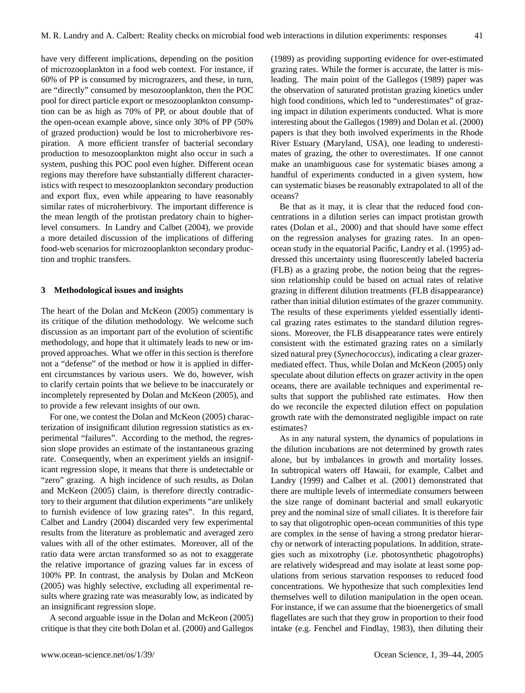have very different implications, depending on the position of microzooplankton in a food web context. For instance, if 60% of PP is consumed by micrograzers, and these, in turn, are "directly" consumed by mesozooplankton, then the POC pool for direct particle export or mesozooplankton consumption can be as high as 70% of PP, or about double that of the open-ocean example above, since only 30% of PP (50% of grazed production) would be lost to microherbivore respiration. A more efficient transfer of bacterial secondary production to mesozooplankton might also occur in such a system, pushing this POC pool even higher. Different ocean regions may therefore have substantially different characteristics with respect to mesozooplankton secondary production and export flux, even while appearing to have reasonably similar rates of microherbivory. The important difference is the mean length of the protistan predatory chain to higherlevel consumers. In Landry and Calbet (2004), we provide a more detailed discussion of the implications of differing food-web scenarios for microzooplankton secondary production and trophic transfers.

#### **3 Methodological issues and insights**

The heart of the Dolan and McKeon (2005) commentary is its critique of the dilution methodology. We welcome such discussion as an important part of the evolution of scientific methodology, and hope that it ultimately leads to new or improved approaches. What we offer in this section is therefore not a "defense" of the method or how it is applied in different circumstances by various users. We do, however, wish to clarify certain points that we believe to be inaccurately or incompletely represented by Dolan and McKeon (2005), and to provide a few relevant insights of our own.

For one, we contest the Dolan and McKeon (2005) characterization of insignificant dilution regression statistics as experimental "failures". According to the method, the regression slope provides an estimate of the instantaneous grazing rate. Consequently, when an experiment yields an insignificant regression slope, it means that there is undetectable or "zero" grazing. A high incidence of such results, as Dolan and McKeon (2005) claim, is therefore directly contradictory to their argument that dilution experiments "are unlikely to furnish evidence of low grazing rates". In this regard, Calbet and Landry (2004) discarded very few experimental results from the literature as problematic and averaged zero values with all of the other estimates. Moreover, all of the ratio data were arctan transformed so as not to exaggerate the relative importance of grazing values far in excess of 100% PP. In contrast, the analysis by Dolan and McKeon (2005) was highly selective, excluding all experimental results where grazing rate was measurably low, as indicated by an insignificant regression slope.

A second arguable issue in the Dolan and McKeon (2005) critique is that they cite both Dolan et al. (2000) and Gallegos (1989) as providing supporting evidence for over-estimated grazing rates. While the former is accurate, the latter is misleading. The main point of the Gallegos (1989) paper was the observation of saturated protistan grazing kinetics under high food conditions, which led to "underestimates" of grazing impact in dilution experiments conducted. What is more interesting about the Gallegos (1989) and Dolan et al. (2000) papers is that they both involved experiments in the Rhode River Estuary (Maryland, USA), one leading to underestimates of grazing, the other to overestimates. If one cannot make an unambiguous case for systematic biases among a handful of experiments conducted in a given system, how can systematic biases be reasonably extrapolated to all of the oceans?

Be that as it may, it is clear that the reduced food concentrations in a dilution series can impact protistan growth rates (Dolan et al., 2000) and that should have some effect on the regression analyses for grazing rates. In an openocean study in the equatorial Pacific, Landry et al. (1995) addressed this uncertainty using fluorescently labeled bacteria (FLB) as a grazing probe, the notion being that the regression relationship could be based on actual rates of relative grazing in different dilution treatments (FLB disappearance) rather than initial dilution estimates of the grazer community. The results of these experiments yielded essentially identical grazing rates estimates to the standard dilution regressions. Moreover, the FLB disappearance rates were entirely consistent with the estimated grazing rates on a similarly sized natural prey (*Synechococcus*), indicating a clear grazermediated effect. Thus, while Dolan and McKeon (2005) only speculate about dilution effects on grazer activity in the open oceans, there are available techniques and experimental results that support the published rate estimates. How then do we reconcile the expected dilution effect on population growth rate with the demonstrated negligible impact on rate estimates?

As in any natural system, the dynamics of populations in the dilution incubations are not determined by growth rates alone, but by imbalances in growth and mortality losses. In subtropical waters off Hawaii, for example, Calbet and Landry (1999) and Calbet et al. (2001) demonstrated that there are multiple levels of intermediate consumers between the size range of dominant bacterial and small eukaryotic prey and the nominal size of small ciliates. It is therefore fair to say that oligotrophic open-ocean communities of this type are complex in the sense of having a strong predator hierarchy or network of interacting populations. In addition, strategies such as mixotrophy (i.e. photosynthetic phagotrophs) are relatively widespread and may isolate at least some populations from serious starvation responses to reduced food concentrations. We hypothesize that such complexities lend themselves well to dilution manipulation in the open ocean. For instance, if we can assume that the bioenergetics of small flagellates are such that they grow in proportion to their food intake (e.g. Fenchel and Findlay, 1983), then diluting their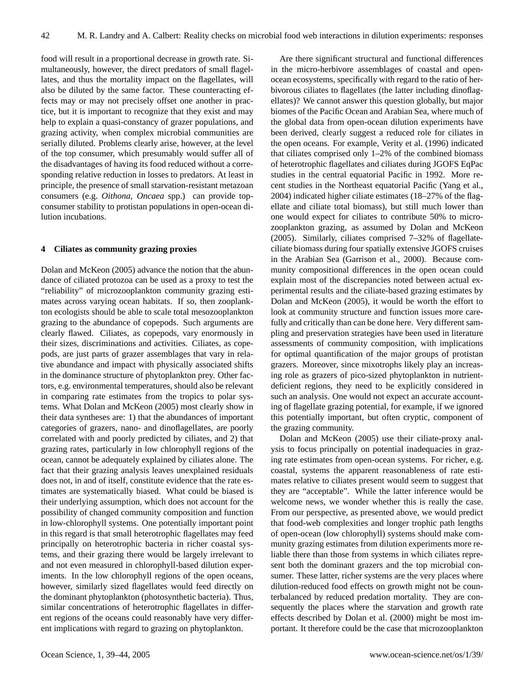food will result in a proportional decrease in growth rate. Simultaneously, however, the direct predators of small flagellates, and thus the mortality impact on the flagellates, will also be diluted by the same factor. These counteracting effects may or may not precisely offset one another in practice, but it is important to recognize that they exist and may help to explain a quasi-constancy of grazer populations, and grazing activity, when complex microbial communities are serially diluted. Problems clearly arise, however, at the level of the top consumer, which presumably would suffer all of the disadvantages of having its food reduced without a corresponding relative reduction in losses to predators. At least in principle, the presence of small starvation-resistant metazoan consumers (e.g. *Oithona, Oncaea* spp.) can provide topconsumer stability to protistan populations in open-ocean dilution incubations.

### **4 Ciliates as community grazing proxies**

Dolan and McKeon (2005) advance the notion that the abundance of ciliated protozoa can be used as a proxy to test the "reliability" of microzooplankton community grazing estimates across varying ocean habitats. If so, then zooplankton ecologists should be able to scale total mesozooplankton grazing to the abundance of copepods. Such arguments are clearly flawed. Ciliates, as copepods, vary enormously in their sizes, discriminations and activities. Ciliates, as copepods, are just parts of grazer assemblages that vary in relative abundance and impact with physically associated shifts in the dominance structure of phytoplankton prey. Other factors, e.g. environmental temperatures, should also be relevant in comparing rate estimates from the tropics to polar systems. What Dolan and McKeon (2005) most clearly show in their data syntheses are: 1) that the abundances of important categories of grazers, nano- and dinoflagellates, are poorly correlated with and poorly predicted by ciliates, and 2) that grazing rates, particularly in low chlorophyll regions of the ocean, cannot be adequately explained by ciliates alone. The fact that their grazing analysis leaves unexplained residuals does not, in and of itself, constitute evidence that the rate estimates are systematically biased. What could be biased is their underlying assumption, which does not account for the possibility of changed community composition and function in low-chlorophyll systems. One potentially important point in this regard is that small heterotrophic flagellates may feed principally on heterotrophic bacteria in richer coastal systems, and their grazing there would be largely irrelevant to and not even measured in chlorophyll-based dilution experiments. In the low chlorophyll regions of the open oceans, however, similarly sized flagellates would feed directly on the dominant phytoplankton (photosynthetic bacteria). Thus, similar concentrations of heterotrophic flagellates in different regions of the oceans could reasonably have very different implications with regard to grazing on phytoplankton.

Are there significant structural and functional differences in the micro-herbivore assemblages of coastal and openocean ecosystems, specifically with regard to the ratio of herbivorous ciliates to flagellates (the latter including dinoflagellates)? We cannot answer this question globally, but major biomes of the Pacific Ocean and Arabian Sea, where much of the global data from open-ocean dilution experiments have been derived, clearly suggest a reduced role for ciliates in the open oceans. For example, Verity et al. (1996) indicated that ciliates comprised only 1–2% of the combined biomass of heterotrophic flagellates and ciliates during JGOFS EqPac studies in the central equatorial Pacific in 1992. More recent studies in the Northeast equatorial Pacific (Yang et al., 2004) indicated higher ciliate estimates (18–27% of the flagellate and ciliate total biomass), but still much lower than one would expect for ciliates to contribute 50% to microzooplankton grazing, as assumed by Dolan and McKeon (2005). Similarly, ciliates comprised 7–32% of flagellateciliate biomass during four spatially extensive JGOFS cruises in the Arabian Sea (Garrison et al., 2000). Because community compositional differences in the open ocean could explain most of the discrepancies noted between actual experimental results and the ciliate-based grazing estimates by Dolan and McKeon (2005), it would be worth the effort to look at community structure and function issues more carefully and critically than can be done here. Very different sampling and preservation strategies have been used in literature assessments of community composition, with implications for optimal quantification of the major groups of protistan grazers. Moreover, since mixotrophs likely play an increasing role as grazers of pico-sized phytoplankton in nutrientdeficient regions, they need to be explicitly considered in such an analysis. One would not expect an accurate accounting of flagellate grazing potential, for example, if we ignored this potentially important, but often cryptic, component of the grazing community.

Dolan and McKeon (2005) use their ciliate-proxy analysis to focus principally on potential inadequacies in grazing rate estimates from open-ocean systems. For richer, e.g. coastal, systems the apparent reasonableness of rate estimates relative to ciliates present would seem to suggest that they are "acceptable". While the latter inference would be welcome news, we wonder whether this is really the case. From our perspective, as presented above, we would predict that food-web complexities and longer trophic path lengths of open-ocean (low chlorophyll) systems should make community grazing estimates from dilution experiments more reliable there than those from systems in which ciliates represent both the dominant grazers and the top microbial consumer. These latter, richer systems are the very places where dilution-reduced food effects on growth might not be counterbalanced by reduced predation mortality. They are consequently the places where the starvation and growth rate effects described by Dolan et al. (2000) might be most important. It therefore could be the case that microzooplankton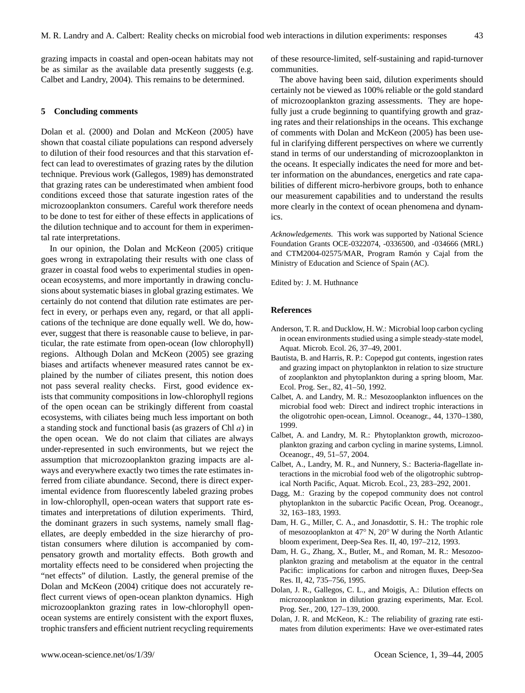grazing impacts in coastal and open-ocean habitats may not be as similar as the available data presently suggests (e.g. Calbet and Landry, 2004). This remains to be determined.

#### **5 Concluding comments**

Dolan et al. (2000) and Dolan and McKeon (2005) have shown that coastal ciliate populations can respond adversely to dilution of their food resources and that this starvation effect can lead to overestimates of grazing rates by the dilution technique. Previous work (Gallegos, 1989) has demonstrated that grazing rates can be underestimated when ambient food conditions exceed those that saturate ingestion rates of the microzooplankton consumers. Careful work therefore needs to be done to test for either of these effects in applications of the dilution technique and to account for them in experimental rate interpretations.

In our opinion, the Dolan and McKeon (2005) critique goes wrong in extrapolating their results with one class of grazer in coastal food webs to experimental studies in openocean ecosystems, and more importantly in drawing conclusions about systematic biases in global grazing estimates. We certainly do not contend that dilution rate estimates are perfect in every, or perhaps even any, regard, or that all applications of the technique are done equally well. We do, however, suggest that there is reasonable cause to believe, in particular, the rate estimate from open-ocean (low chlorophyll) regions. Although Dolan and McKeon (2005) see grazing biases and artifacts whenever measured rates cannot be explained by the number of ciliates present, this notion does not pass several reality checks. First, good evidence exists that community compositions in low-chlorophyll regions of the open ocean can be strikingly different from coastal ecosystems, with ciliates being much less important on both a standing stock and functional basis (as grazers of Chl  $a$ ) in the open ocean. We do not claim that ciliates are always under-represented in such environments, but we reject the assumption that microzooplankton grazing impacts are always and everywhere exactly two times the rate estimates inferred from ciliate abundance. Second, there is direct experimental evidence from fluorescently labeled grazing probes in low-chlorophyll, open-ocean waters that support rate estimates and interpretations of dilution experiments. Third, the dominant grazers in such systems, namely small flagellates, are deeply embedded in the size hierarchy of protistan consumers where dilution is accompanied by compensatory growth and mortality effects. Both growth and mortality effects need to be considered when projecting the "net effects" of dilution. Lastly, the general premise of the Dolan and McKeon (2004) critique does not accurately reflect current views of open-ocean plankton dynamics. High microzooplankton grazing rates in low-chlorophyll openocean systems are entirely consistent with the export fluxes, trophic transfers and efficient nutrient recycling requirements of these resource-limited, self-sustaining and rapid-turnover communities.

The above having been said, dilution experiments should certainly not be viewed as 100% reliable or the gold standard of microzooplankton grazing assessments. They are hopefully just a crude beginning to quantifying growth and grazing rates and their relationships in the oceans. This exchange of comments with Dolan and McKeon (2005) has been useful in clarifying different perspectives on where we currently stand in terms of our understanding of microzooplankton in the oceans. It especially indicates the need for more and better information on the abundances, energetics and rate capabilities of different micro-herbivore groups, both to enhance our measurement capabilities and to understand the results more clearly in the context of ocean phenomena and dynamics.

*Acknowledgements.* This work was supported by National Science Foundation Grants OCE-0322074, -0336500, and -034666 (MRL) and CTM2004-02575/MAR, Program Ramón y Cajal from the Ministry of Education and Science of Spain (AC).

Edited by: J. M. Huthnance

#### **References**

- Anderson, T. R. and Ducklow, H. W.: Microbial loop carbon cycling in ocean environments studied using a simple steady-state model, Aquat. Microb. Ecol. 26, 37–49, 2001.
- Bautista, B. and Harris, R. P.: Copepod gut contents, ingestion rates and grazing impact on phytoplankton in relation to size structure of zooplankton and phytoplankton during a spring bloom, Mar. Ecol. Prog. Ser., 82, 41–50, 1992.
- Calbet, A. and Landry, M. R.: Mesozooplankton influences on the microbial food web: Direct and indirect trophic interactions in the oligotrohic open-ocean, Limnol. Oceanogr., 44, 1370–1380, 1999.
- Calbet, A. and Landry, M. R.: Phytoplankton growth, microzooplankton grazing and carbon cycling in marine systems, Limnol. Oceanogr., 49, 51–57, 2004.
- Calbet, A., Landry, M. R., and Nunnery, S.: Bacteria-flagellate interactions in the microbial food web of the oligotrophic subtropical North Pacific, Aquat. Microb. Ecol., 23, 283–292, 2001.
- Dagg, M.: Grazing by the copepod community does not control phytoplankton in the subarctic Pacific Ocean, Prog. Oceanogr., 32, 163–183, 1993.
- Dam, H. G., Miller, C. A., and Jonasdottir, S. H.: The trophic role of mesozooplankton at 47◦ N, 20◦ W during the North Atlantic bloom experiment, Deep-Sea Res. II, 40, 197–212, 1993.
- Dam, H. G., Zhang, X., Butler, M., and Roman, M. R.: Mesozooplankton grazing and metabolism at the equator in the central Pacific: implications for carbon and nitrogen fluxes, Deep-Sea Res. II, 42, 735–756, 1995.
- Dolan, J. R., Gallegos, C. L., and Moigis, A.: Dilution effects on microzooplankton in dilution grazing experiments, Mar. Ecol. Prog. Ser., 200, 127–139, 2000.
- Dolan, J. R. and McKeon, K.: The reliability of grazing rate estimates from dilution experiments: Have we over-estimated rates